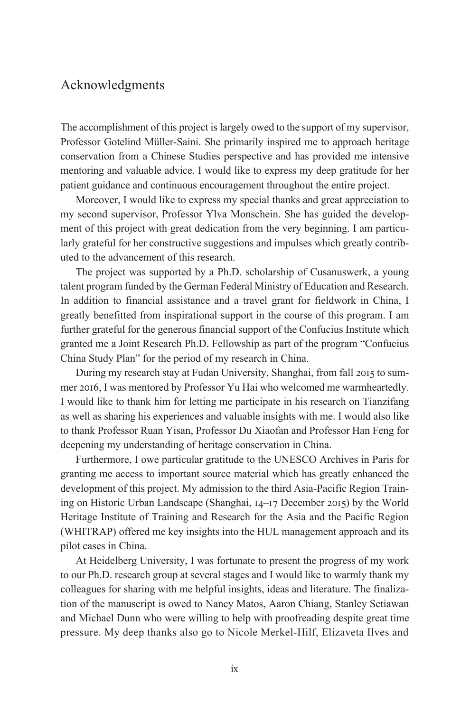## Acknowledgments

The accomplishment of this project is largely owed to the support of my supervisor, Professor Gotelind Müller-Saini. She primarily inspired me to approach heritage conservation from a Chinese Studies perspective and has provided me intensive mentoring and valuable advice. I would like to express my deep gratitude for her patient guidance and continuous encouragement throughout the entire project.

Moreover, I would like to express my special thanks and great appreciation to my second supervisor, Professor Ylva Monschein. She has guided the development of this project with great dedication from the very beginning. I am particularly grateful for her constructive suggestions and impulses which greatly contributed to the advancement of this research.

The project was supported by a Ph.D. scholarship of Cusanuswerk, a young talent program funded by the German Federal Ministry of Education and Research. In addition to financial assistance and a travel grant for fieldwork in China, I greatly benefitted from inspirational support in the course of this program. I am further grateful for the generous financial support of the Confucius Institute which granted me a Joint Research Ph.D. Fellowship as part of the program "Confucius China Study Plan" for the period of my research in China.

During my research stay at Fudan University, Shanghai, from fall 2015 to summer 2016, I was mentored by Professor Yu Hai who welcomed me warmheartedly. I would like to thank him for letting me participate in his research on Tianzifang as well as sharing his experiences and valuable insights with me. I would also like to thank Professor Ruan Yisan, Professor Du Xiaofan and Professor Han Feng for deepening my understanding of heritage conservation in China.

Furthermore, I owe particular gratitude to the UNESCO Archives in Paris for granting me access to important source material which has greatly enhanced the development of this project. My admission to the third Asia-Pacific Region Training on Historic Urban Landscape (Shanghai, 14–17 December 2015) by the World Heritage Institute of Training and Research for the Asia and the Pacific Region (WHITRAP) offered me key insights into the HUL management approach and its pilot cases in China.

At Heidelberg University, I was fortunate to present the progress of my work to our Ph.D. research group at several stages and I would like to warmly thank my colleagues for sharing with me helpful insights, ideas and literature. The finalization of the manuscript is owed to Nancy Matos, Aaron Chiang, Stanley Setiawan and Michael Dunn who were willing to help with proofreading despite great time pressure. My deep thanks also go to Nicole Merkel-Hilf, Elizaveta Ilves and